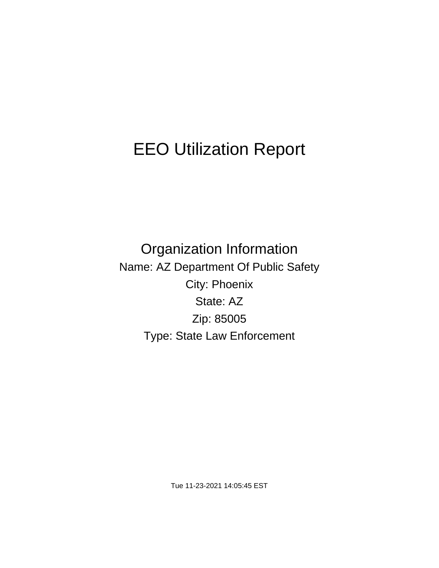# EEO Utilization Report

Organization Information Name: AZ Department Of Public Safety City: Phoenix State: AZ Zip: 85005 Type: State Law Enforcement

Tue 11-23-2021 14:05:45 EST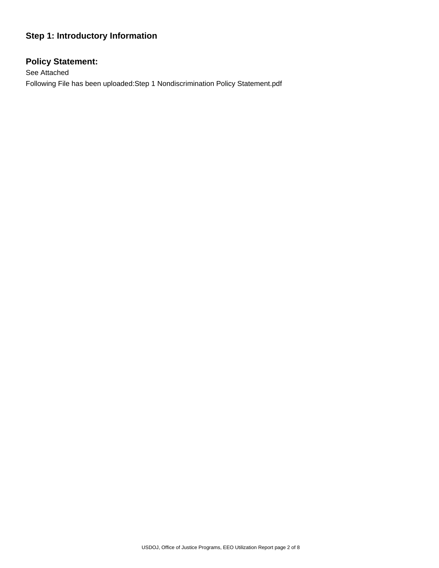# **Step 1: Introductory Information**

# **Policy Statement:**

See Attached Following File has been uploaded:Step 1 Nondiscrimination Policy Statement.pdf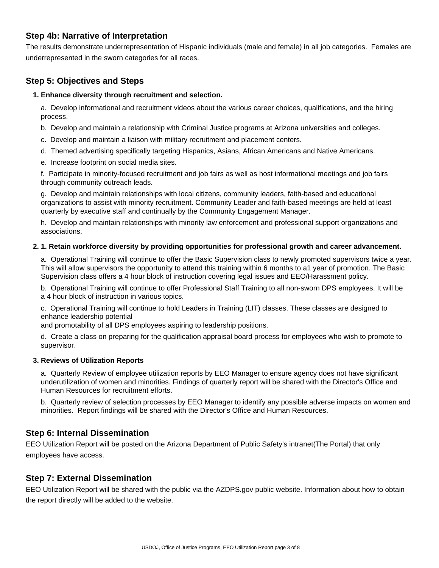## **Step 4b: Narrative of Interpretation**

The results demonstrate underrepresentation of Hispanic individuals (male and female) in all job categories. Females are underrepresented in the sworn categories for all races.

# **Step 5: Objectives and Steps**

#### **1. Enhance diversity through recruitment and selection.**

a. Develop informational and recruitment videos about the various career choices, qualifications, and the hiring process.

b. Develop and maintain a relationship with Criminal Justice programs at Arizona universities and colleges.

c. Develop and maintain a liaison with military recruitment and placement centers.

d. Themed advertising specifically targeting Hispanics, Asians, African Americans and Native Americans.

e. Increase footprint on social media sites.

f. Participate in minority-focused recruitment and job fairs as well as host informational meetings and job fairs through community outreach leads.

g. Develop and maintain relationships with local citizens, community leaders, faith-based and educational organizations to assist with minority recruitment. Community Leader and faith-based meetings are held at least quarterly by executive staff and continually by the Community Engagement Manager.

h. Develop and maintain relationships with minority law enforcement and professional support organizations and associations.

#### **2. 1. Retain workforce diversity by providing opportunities for professional growth and career advancement.**

a. Operational Training will continue to offer the Basic Supervision class to newly promoted supervisors twice a year. This will allow supervisors the opportunity to attend this training within 6 months to a1 year of promotion. The Basic Supervision class offers a 4 hour block of instruction covering legal issues and EEO/Harassment policy.

b. Operational Training will continue to offer Professional Staff Training to all non-sworn DPS employees. It will be a 4 hour block of instruction in various topics.

c. Operational Training will continue to hold Leaders in Training (LIT) classes. These classes are designed to enhance leadership potential

and promotability of all DPS employees aspiring to leadership positions.

d. Create a class on preparing for the qualification appraisal board process for employees who wish to promote to supervisor.

#### **3. Reviews of Utilization Reports**

a. Quarterly Review of employee utilization reports by EEO Manager to ensure agency does not have significant underutilization of women and minorities. Findings of quarterly report will be shared with the Director's Office and Human Resources for recruitment efforts.

b. Quarterly review of selection processes by EEO Manager to identify any possible adverse impacts on women and minorities. Report findings will be shared with the Director's Office and Human Resources.

## **Step 6: Internal Dissemination**

EEO Utilization Report will be posted on the Arizona Department of Public Safety's intranet(The Portal) that only employees have access.

## **Step 7: External Dissemination**

EEO Utilization Report will be shared with the public via the AZDPS.gov public website. Information about how to obtain the report directly will be added to the website.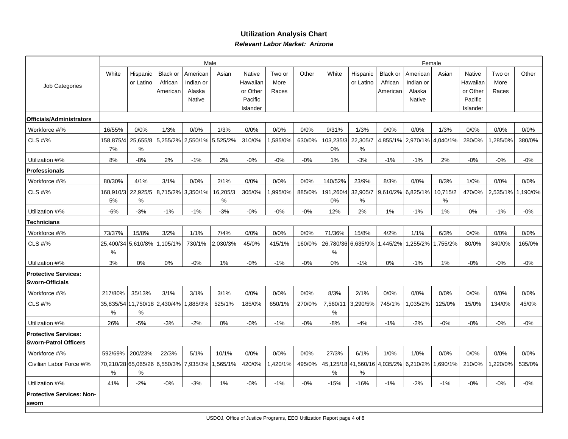## **Utilization Analysis ChartRelevant Labor Market: Arizona**

|                                                             |                 |                                   |                                        |                                       | Male             |                                |                         | Female |                         |                       |                                       |                                 |                                |                                |                         |         |
|-------------------------------------------------------------|-----------------|-----------------------------------|----------------------------------------|---------------------------------------|------------------|--------------------------------|-------------------------|--------|-------------------------|-----------------------|---------------------------------------|---------------------------------|--------------------------------|--------------------------------|-------------------------|---------|
| Job Categories                                              | White           | Hispanic<br>or Latino             | <b>Black or</b><br>African<br>American | American<br>Indian or<br>Alaska       | Asian            | Native<br>Hawaiian<br>or Other | Two or<br>More<br>Races | Other  | White                   | Hispanic<br>or Latino | Black or<br>African<br>American       | American<br>Indian or<br>Alaska | Asian                          | Native<br>Hawaiiar<br>or Other | Two or<br>More<br>Races | Other   |
|                                                             |                 |                                   |                                        | Native                                |                  | Pacific<br>Islander            |                         |        |                         |                       |                                       | Native                          |                                | Pacific<br>Islander            |                         |         |
| Officials/Administrators                                    |                 |                                   |                                        |                                       |                  |                                |                         |        |                         |                       |                                       |                                 |                                |                                |                         |         |
| Workforce #/%                                               | 16/55%          | 0/0%                              | 1/3%                                   | 0/0%                                  | 1/3%             | 0/0%                           | 0/0%                    | 0/0%   | 9/31%                   | 1/3%                  | 0/0%                                  | 0/0%                            | 1/3%                           | 0/0%                           | 0/0%                    | 0/0%    |
| CLS #/%                                                     | 158,875/4<br>7% | 25,655/8<br>%                     | 5,255/2%                               | 2,550/1%                              | 5,525/2%         | 310/0%                         | ,585/0%                 | 630/0% | 103,235/3<br>0%         | 22,305/7<br>%         |                                       |                                 | 4,855/1%   2,970/1%   4,040/1% | 280/0%                         | ,285/0%                 | 380/0%  |
| Utilization #/%                                             | 8%              | $-8%$                             | 2%                                     | $-1%$                                 | 2%               | $-0\%$                         | $-0\%$                  | $-0\%$ | 1%                      | $-3%$                 | $-1%$                                 | $-1%$                           | 2%                             | $-0%$                          | $-0%$                   | $-0\%$  |
| <b>Professionals</b>                                        |                 |                                   |                                        |                                       |                  |                                |                         |        |                         |                       |                                       |                                 |                                |                                |                         |         |
| Workforce #/%                                               | 80/30%          | 4/1%                              | 3/1%                                   | 0/0%                                  | 2/1%             | 0/0%                           | 0/0%                    | 0/0%   | 140/52%                 | 23/9%                 | 8/3%                                  | 0/0%                            | 8/3%                           | 1/0%                           | 0/0%                    | 0/0%    |
| <b>CLS #/%</b>                                              | 168,910/3<br>5% | 22,925/5<br>%                     | 8,715/2%                               | 3,350/1%                              | 16,205/3<br>$\%$ | 305/0%                         | .995/0%                 | 885/0% | 191,260/4<br>0%         | 32,905/7<br>%         |                                       | 9,610/2% 6,825/1%               | 10,715/2<br>$\%$               | 470/0%                         | 2,535/1%                | ,190/0% |
| Utilization #/%                                             | $-6%$           | $-3%$                             | $-1%$                                  | $-1%$                                 | $-3%$            | $-0%$                          | $-0%$                   | $-0%$  | 12%                     | 2%                    | 1%                                    | $-1%$                           | 1%                             | 0%                             | $-1%$                   | $-0%$   |
| <b>Technicians</b>                                          |                 |                                   |                                        |                                       |                  |                                |                         |        |                         |                       |                                       |                                 |                                |                                |                         |         |
| Workforce #/%                                               | 73/37%          | 15/8%                             | 3/2%                                   | 1/1%                                  | 7/4%             | 0/0%                           | 0/0%                    | 0/0%   | 71/36%                  | 15/8%                 | 4/2%                                  | 1/1%                            | 6/3%                           | 0/0%                           | 0/0%                    | 0/0%    |
| CLS #/%                                                     | 25,400/34<br>℅  | 5,610/8%                          | 1,105/1%                               | 730/1%                                | 2,030/3%         | 45/0%                          | 415/1%                  | 160/0% | 26,780/36 6,635/9%<br>℅ |                       | 1,445/2%                              | ,255/2%                         | ,755/2%                        | 80/0%                          | 340/0%                  | 165/0%  |
| Utilization #/%                                             | 3%              | 0%                                | 0%                                     | $-0%$                                 | 1%               | $-0%$                          | $-1%$                   | $-0%$  | 0%                      | $-1%$                 | 0%                                    | $-1%$                           | 1%                             | $-0%$                          | $-0%$                   | $-0%$   |
| <b>Protective Services:</b><br><b>Sworn-Officials</b>       |                 |                                   |                                        |                                       |                  |                                |                         |        |                         |                       |                                       |                                 |                                |                                |                         |         |
| Workforce #/%                                               | 217/80%         | 35/13%                            | 3/1%                                   | 3/1%                                  | 3/1%             | 0/0%                           | 0/0%                    | 0/0%   | 8/3%                    | 2/1%                  | 0/0%                                  | 0/0%                            | 0/0%                           | 0/0%                           | 0/0%                    | 0/0%    |
| CLS #/%                                                     | %               | 35,835/54 11,750/18 2,430/4%<br>% |                                        | 1,885/3%                              | 525/1%           | 185/0%                         | 650/1%                  | 270/0% | 7,560/11<br>%           | 3,290/5%              | 745/1%                                | ,035/2%                         | 125/0%                         | 15/0%                          | 134/0%                  | 45/0%   |
| Utilization #/%                                             | 26%             | $-5%$                             | $-3%$                                  | $-2%$                                 | 0%               | $-0%$                          | $-1%$                   | $-0%$  | $-8%$                   | $-4%$                 | $-1%$                                 | $-2%$                           | $-0%$                          | $-0%$                          | $-0%$                   | $-0\%$  |
| <b>Protective Services:</b><br><b>Sworn-Patrol Officers</b> |                 |                                   |                                        |                                       |                  |                                |                         |        |                         |                       |                                       |                                 |                                |                                |                         |         |
| Workforce #/%                                               | 592/69%         | 200/23%                           | 22/3%                                  | 5/1%                                  | 10/1%            | 0/0%                           | 0/0%                    | 0/0%   | 27/3%                   | 6/1%                  | 1/0%                                  | 1/0%                            | 0/0%                           | 0/0%                           | 0/0%                    | 0/0%    |
| Civilian Labor Force #/%                                    | %               | %                                 |                                        | 70,210/28 65,065/26 6,550/3% 7,935/3% | 1,565/1%         | 420/0%                         | ,420/1%                 | 495/0% | %                       | %                     | 45,125/18 41,560/16 4,035/2% 6,210/2% |                                 | .690/1%                        | 210/0%                         | ,220/0%                 | 535/0%  |
| Utilization #/%                                             | 41%             | $-2%$                             | $-0%$                                  | $-3%$                                 | 1%               | $-0%$                          | $-1%$                   | $-0%$  | $-15%$                  | $-16%$                | $-1%$                                 | $-2%$                           | $-1%$                          | $-0%$                          | $-0%$                   | $-0%$   |
| Protective Services: Non-<br><b>sworn</b>                   |                 |                                   |                                        |                                       |                  |                                |                         |        |                         |                       |                                       |                                 |                                |                                |                         |         |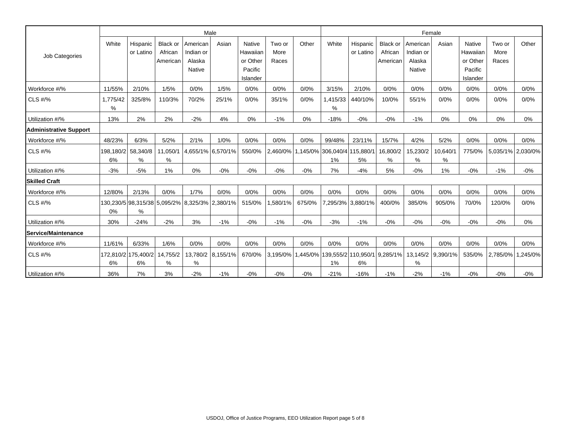|                             |                 |                           |                                        |                                           | Male                                           |                                                       |                         | Female |                                             |                       |                                 |                                                  |                   |                                                              |                         |                   |
|-----------------------------|-----------------|---------------------------|----------------------------------------|-------------------------------------------|------------------------------------------------|-------------------------------------------------------|-------------------------|--------|---------------------------------------------|-----------------------|---------------------------------|--------------------------------------------------|-------------------|--------------------------------------------------------------|-------------------------|-------------------|
| Job Categories              | White           | Hispanic<br>or Latino     | <b>Black or</b><br>African<br>American | American<br>Indian or<br>Alaska<br>Native | Asian                                          | Native<br>Hawaiian<br>or Other<br>Pacific<br>Islander | Two or<br>More<br>Races | Other  | White                                       | Hispanic<br>or Latino | Black or<br>African<br>American | American<br>Indian or<br>Alaska<br><b>Native</b> | Asian             | <b>Native</b><br>Hawaiian<br>or Other<br>Pacific<br>Islander | Two or<br>More<br>Races | Other             |
| Workforce #/%               | 11/55%          | 2/10%                     | 1/5%                                   | 0/0%                                      | 1/5%                                           | 0/0%                                                  | 0/0%                    | 0/0%   | 3/15%                                       | 2/10%                 | 0/0%                            | 0/0%                                             | 0/0%              | 0/0%                                                         | 0/0%                    | 0/0%              |
| CLS #/%                     | 1,775/42<br>%   | 325/8%                    | 110/3%                                 | 70/2%                                     | 25/1%                                          | 0/0%                                                  | 35/1%                   | 0/0%   | 1,415/33<br>%                               | 440/10%               | 10/0%                           | 55/1%                                            | 0/0%              | 0/0%                                                         | 0/0%                    | 0/0%              |
| Utilization #/%             | 13%             | 2%                        | 2%                                     | $-2%$                                     | 4%                                             | 0%                                                    | $-1%$                   | 0%     | $-18%$                                      | $-0\%$                | $-0%$                           | $-1%$                                            | 0%                | 0%                                                           | 0%                      | 0%                |
| Administrative Support      |                 |                           |                                        |                                           |                                                |                                                       |                         |        |                                             |                       |                                 |                                                  |                   |                                                              |                         |                   |
| Workforce #/%               | 48/23%          | 6/3%                      | 5/2%                                   | 2/1%                                      | 1/0%                                           | 0/0%                                                  | 0/0%                    | 0/0%   | 99/48%                                      | 23/11%                | 15/7%                           | 4/2%                                             | 5/2%              | 0/0%                                                         | 0/0%                    | 0/0%              |
| CLS #/%                     | 198,180/2<br>6% | 58,340/8<br>%             | 11,050/1<br>%                          |                                           | 4,655/1% 6,570/1%                              | 550/0%                                                | 2,460/0%                |        | 1,145/0% 306,040/4 115,880/1<br>1%          | 5%                    | 16,800/2<br>%                   | 15,230/2<br>%                                    | 10,640/1<br>%     | 775/0%                                                       |                         | 5,035/1% 2,030/0% |
| Utilization #/%             | $-3%$           | $-5%$                     | 1%                                     | $0\%$                                     | $-0%$                                          | $-0%$                                                 | $-0%$                   | $-0%$  | 7%                                          | $-4%$                 | 5%                              | $-0\%$                                           | 1%                | $-0\%$                                                       | $-1%$                   | $-0\%$            |
| <b>Skilled Craft</b>        |                 |                           |                                        |                                           |                                                |                                                       |                         |        |                                             |                       |                                 |                                                  |                   |                                                              |                         |                   |
| Workforce #/%               | 12/80%          | 2/13%                     | 0/0%                                   | 1/7%                                      | 0/0%                                           | 0/0%                                                  | 0/0%                    | 0/0%   | 0/0%                                        | 0/0%                  | 0/0%                            | 0/0%                                             | 0/0%              | 0/0%                                                         | 0/0%                    | 0/0%              |
| <b>CLS #/%</b>              | 0%              | $\%$                      |                                        |                                           | 130,230/5 98,315/38 5,095/2% 8,325/3% 2,380/1% | 515/0%                                                | 1,580/1%                | 675/0% |                                             | 7,295/3% 3,880/1%     | 400/0%                          | 385/0%                                           | 905/0%            | 70/0%                                                        | 120/0%                  | 0/0%              |
| Utilization #/%             | 30%             | $-24%$                    | $-2%$                                  | 3%                                        | $-1%$                                          | $-0%$                                                 | $-1%$                   | $-0%$  | $-3%$                                       | $-1%$                 | $-0%$                           | $-0%$                                            | $-0%$             | $-0%$                                                        | $-0%$                   | 0%                |
| <b>lService/Maintenance</b> |                 |                           |                                        |                                           |                                                |                                                       |                         |        |                                             |                       |                                 |                                                  |                   |                                                              |                         |                   |
| Workforce #/%               | 11/61%          | 6/33%                     | 1/6%                                   | 0/0%                                      | 0/0%                                           | 0/0%                                                  | 0/0%                    | 0/0%   | 0/0%                                        | 0/0%                  | 0/0%                            | 0/0%                                             | 0/0%              | 0/0%                                                         | 0/0%                    | 0/0%              |
| CLS #/%                     | 6%              | 172,810/2 175,400/2<br>6% | 14,755/2<br>%                          | 13,780/2<br>%                             | 8,155/1%                                       | 670/0%                                                | $3,195/0\%$             |        | 1,445/0% 139,555/2 110,950/1 9,285/1%<br>1% | 6%                    |                                 | %                                                | 13,145/2 9,390/1% | 535/0%                                                       | 2,785/0%                | ,245/0%           |
| Utilization #/%             | 36%             | 7%                        | 3%                                     | $-2%$                                     | $-1%$                                          | $-0%$                                                 | $-0%$                   | $-0%$  | $-21%$                                      | $-16%$                | $-1%$                           | $-2%$                                            | $-1%$             | $-0%$                                                        | $-0%$                   | $-0%$             |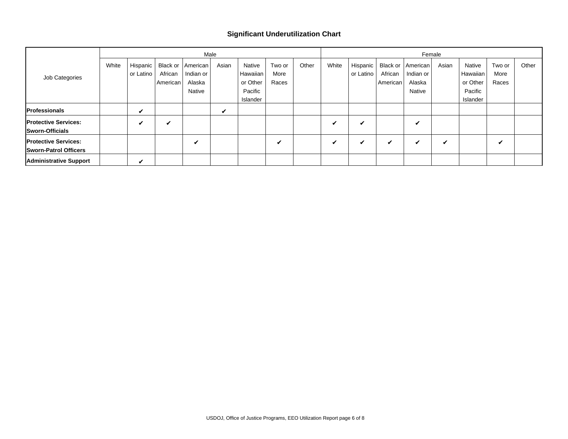### **Significant Underutilization Chart**

|                                                             |       |                       |                                 | Male                                      |       |                                                       |                         | Female |       |                         |                                 |                                           |       |                                                       |                         |       |
|-------------------------------------------------------------|-------|-----------------------|---------------------------------|-------------------------------------------|-------|-------------------------------------------------------|-------------------------|--------|-------|-------------------------|---------------------------------|-------------------------------------------|-------|-------------------------------------------------------|-------------------------|-------|
| Job Categories                                              | White | Hispanic<br>or Latino | Black or<br>African<br>American | American<br>Indian or<br>Alaska<br>Native | Asian | Native<br>Hawaiian<br>or Other<br>Pacific<br>Islander | Two or<br>More<br>Races | Other  | White | Hispanic  <br>or Latino | Black or<br>African<br>American | American<br>Indian or<br>Alaska<br>Native | Asian | Native<br>Hawaiian<br>or Other<br>Pacific<br>Islander | Two or<br>More<br>Races | Other |
| <b>Professionals</b>                                        |       | ✔                     |                                 |                                           | ✔     |                                                       |                         |        |       |                         |                                 |                                           |       |                                                       |                         |       |
| <b>Protective Services:</b><br><b>Sworn-Officials</b>       |       | ✔                     | ✔                               |                                           |       |                                                       |                         |        | ✔     | v                       |                                 | v                                         |       |                                                       |                         |       |
| <b>Protective Services:</b><br><b>Sworn-Patrol Officers</b> |       |                       |                                 | ✔                                         |       |                                                       | ✔                       |        | ✔     | ✔                       | ✔                               | v                                         | v     |                                                       | v                       |       |
| <b>Administrative Support</b>                               |       | ✓                     |                                 |                                           |       |                                                       |                         |        |       |                         |                                 |                                           |       |                                                       |                         |       |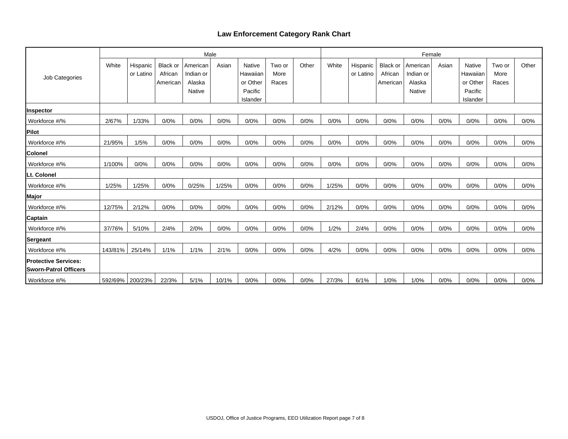## **Law Enforcement Category Rank Chart**

|                               |         |           |                 | Male          |       |               |        |       |       |           |          | Female        |       |               |        |       |
|-------------------------------|---------|-----------|-----------------|---------------|-------|---------------|--------|-------|-------|-----------|----------|---------------|-------|---------------|--------|-------|
|                               | White   | Hispanic  | <b>Black or</b> | American      | Asian | <b>Native</b> | Two or | Other | White | Hispanic  | Black or | American      | Asian | <b>Native</b> | Two or | Other |
| Job Categories                |         | or Latino | African         | Indian or     |       | Hawaiian      | More   |       |       | or Latino | African  | Indian or     |       | Hawaiian      | More   |       |
|                               |         |           | American        | Alaska        |       | or Other      | Races  |       |       |           | American | Alaska        |       | or Other      | Races  |       |
|                               |         |           |                 | <b>Native</b> |       | Pacific       |        |       |       |           |          | <b>Native</b> |       | Pacific       |        |       |
|                               |         |           |                 |               |       | Islander      |        |       |       |           |          |               |       | Islander      |        |       |
| Inspector                     |         |           |                 |               |       |               |        |       |       |           |          |               |       |               |        |       |
| Workforce #/%                 | 2/67%   | 1/33%     | 0/0%            | 0/0%          | 0/0%  | 0/0%          | 0/0%   | 0/0%  | 0/0%  | 0/0%      | 0/0%     | 0/0%          | 0/0%  | 0/0%          | 0/0%   | 0/0%  |
| Pilot                         |         |           |                 |               |       |               |        |       |       |           |          |               |       |               |        |       |
| Workforce #/%                 | 21/95%  | 1/5%      | 0/0%            | 0/0%          | 0/0%  | 0/0%          | 0/0%   | 0/0%  | 0/0%  | 0/0%      | 0/0%     | 0/0%          | 0/0%  | 0/0%          | 0/0%   | 0/0%  |
| <b>Colonel</b>                |         |           |                 |               |       |               |        |       |       |           |          |               |       |               |        |       |
| Workforce #/%                 | 1/100%  | 0/0%      | 0/0%            | 0/0%          | 0/0%  | 0/0%          | 0/0%   | 0/0%  | 0/0%  | 0/0%      | 0/0%     | 0/0%          | 0/0%  | 0/0%          | 0/0%   | 0/0%  |
| Lt. Colonel                   |         |           |                 |               |       |               |        |       |       |           |          |               |       |               |        |       |
| Workforce #/%                 | 1/25%   | 1/25%     | 0/0%            | 0/25%         | 1/25% | 0/0%          | 0/0%   | 0/0%  | 1/25% | 0/0%      | 0/0%     | 0/0%          | 0/0%  | 0/0%          | 0/0%   | 0/0%  |
| Major                         |         |           |                 |               |       |               |        |       |       |           |          |               |       |               |        |       |
| Workforce #/%                 | 12/75%  | 2/12%     | 0/0%            | 0/0%          | 0/0%  | 0/0%          | 0/0%   | 0/0%  | 2/12% | 0/0%      | 0/0%     | 0/0%          | 0/0%  | 0/0%          | 0/0%   | 0/0%  |
| <b>Captain</b>                |         |           |                 |               |       |               |        |       |       |           |          |               |       |               |        |       |
| Workforce #/%                 | 37/76%  | 5/10%     | 2/4%            | 2/0%          | 0/0%  | 0/0%          | 0/0%   | 0/0%  | 1/2%  | 2/4%      | 0/0%     | 0/0%          | 0/0%  | 0/0%          | 0/0%   | 0/0%  |
| Sergeant                      |         |           |                 |               |       |               |        |       |       |           |          |               |       |               |        |       |
| Workforce #/%                 | 143/81% | 25/14%    | 1/1%            | 1/1%          | 2/1%  | 0/0%          | 0/0%   | 0/0%  | 4/2%  | 0/0%      | 0/0%     | 0/0%          | 0/0%  | 0/0%          | 0/0%   | 0/0%  |
| <b>Protective Services:</b>   |         |           |                 |               |       |               |        |       |       |           |          |               |       |               |        |       |
| <b>ISworn-Patrol Officers</b> |         |           |                 |               |       |               |        |       |       |           |          |               |       |               |        |       |
| Workforce #/%                 | 592/69% | 200/23%   | 22/3%           | 5/1%          | 10/1% | 0/0%          | 0/0%   | 0/0%  | 27/3% | 6/1%      | 1/0%     | 1/0%          | 0/0%  | 0/0%          | 0/0%   | 0/0%  |